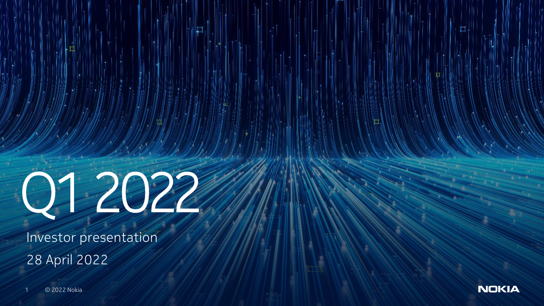

Investor presentation 28 April 2022

1 © 2022 Nokia

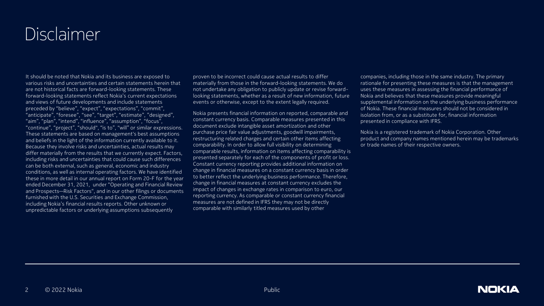## Disclaimer

It should be noted that Nokia and its business are exposed to various risks and uncertainties and certain statements herein that are not historical facts are forward-looking statements. These forward-looking statements reflect Nokia's current expectations and views of future developments and include statements preceded by "believe", "expect", "expectations", "commit", "anticipate", "foresee", "see", "target", "estimate", "designed", "aim", "plan", "intend", "influence", "assumption", "focus", "continue", "project", "should", "is to", "will" or similar expressions. These statements are based on management's best assumptions and beliefs in the light of the information currently available to it. Because they involve risks and uncertainties, actual results may differ materially from the results that we currently expect. Factors, including risks and uncertainties that could cause such differences can be both external, such as general, economic and industry conditions, as well as internal operating factors. We have identified these in more detail in our annual report on Form 20-F for the year ended December 31, 2021, under "Operating and Financial Review and Prospects—Risk Factors", and in our other filings or documents furnished with the U.S. Securities and Exchange Commission, including Nokia's financial results reports. Other unknown or unpredictable factors or underlying assumptions subsequently

proven to be incorrect could cause actual results to differ materially from those in the forward-looking statements. We do not undertake any obligation to publicly update or revise forwardlooking statements, whether as a result of new information, future events or otherwise, except to the extent legally required.

Nokia presents financial information on reported, comparable and constant currency basis. Comparable measures presented in this document exclude intangible asset amortization and other purchase price fair value adjustments, goodwill impairments, restructuring related charges and certain other items affecting comparability. In order to allow full visibility on determining comparable results, information on items affecting comparability is presented separately for each of the components of profit or loss. Constant currency reporting provides additional information on change in financial measures on a constant currency basis in order to better reflect the underlying business performance. Therefore, change in financial measures at constant currency excludes the impact of changes in exchange rates in comparison to euro, our reporting currency. As comparable or constant currency financial measures are not defined in IFRS they may not be directly comparable with similarly titled measures used by other

companies, including those in the same industry. The primary rationale for presenting these measures is that the management uses these measures in assessing the financial performance of Nokia and believes that these measures provide meaningful supplemental information on the underlying business performance of Nokia. These financial measures should not be considered in isolation from, or as a substitute for, financial information presented in compliance with IFRS.

Nokia is a registered trademark of Nokia Corporation. Other product and company names mentioned herein may be trademarks or trade names of their respective owners.

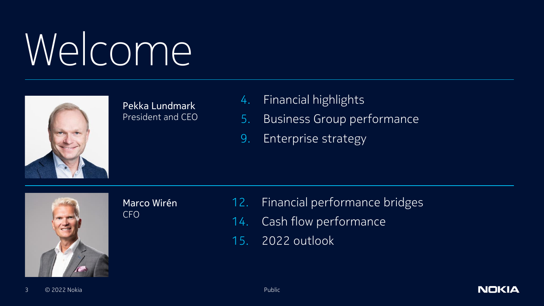# Welcome



Pekka Lundmark President and CEO

- 4. Financial highlights
- 5. Business Group performance
- 9. Enterprise strategy



Marco Wirén CFO

12. Financial performance bridges

- 14. Cash flow performance
- 15. 2022 outlook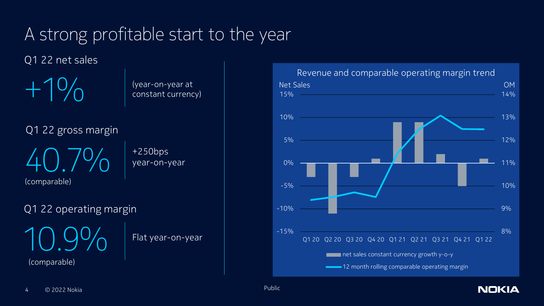## A strong profitable start to the year

Q1 22 net sales

 $+1\%$ 

(year-on-year at constant currency)

Q1 22 gross margin

 $40.7\%$   $*^{250bps}_{year-on}$ (comparable)

year-on-year

Q1 22 operating margin

10.9%

Flat year-on-year

(comparable)

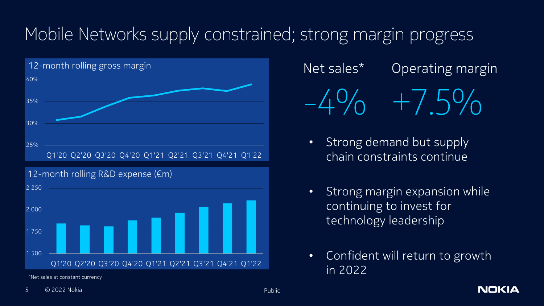## Mobile Networks supply constrained; strong margin progress



Q1'20 Q2'20 Q3'20 Q4'20 Q1'21 Q2'21 Q3'21 Q4'21 Q1'22

\*Net sales at constant currency

## Net sales\*  $-4\%$ Operating margin

 $+7.5\%$ 

- Strong demand but supply chain constraints continue
- Strong margin expansion while continuing to invest for technology leadership
- Confident will return to growth in 2022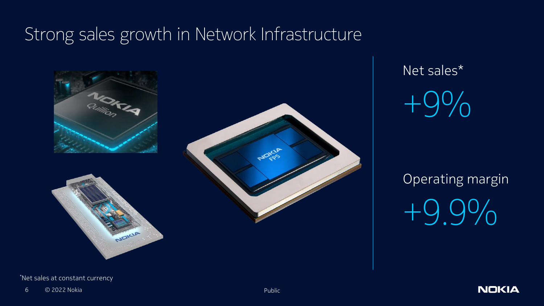## Strong sales growth in Network Infrastructure



Net sales\*

 $+9\%$ 

Operating margin +9.9%

\*Net sales at constant currency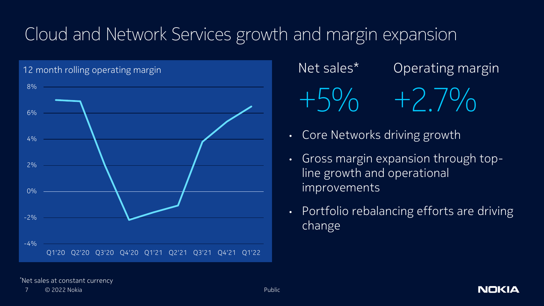## Cloud and Network Services growth and margin expansion



Net sales\* +5% +2.7% Operating margin

- Core Networks driving growth
- Gross margin expansion through topline growth and operational improvements
- Portfolio rebalancing efforts are driving change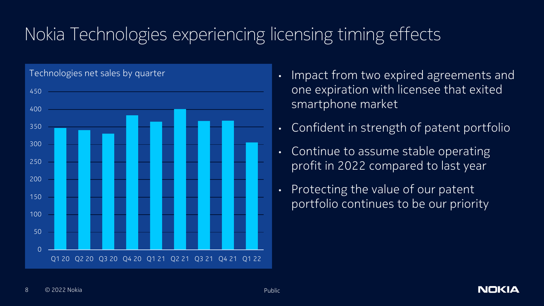## Nokia Technologies experiencing licensing timing effects



- one expiration with licensee that exited smartphone market
- Confident in strength of patent portfolio
- Continue to assume stable operating profit in 2022 compared to last year
- Protecting the value of our patent portfolio continues to be our priority

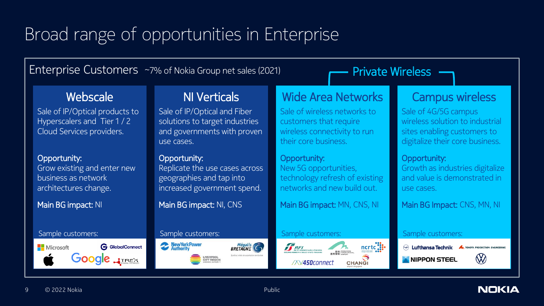## Broad range of opportunities in Enterprise

Enterprise Customers ~7% of Nokia Group net sales (2021) **Private Wireless** 

#### Webscale

Sale of IP/Optical products to Hyperscalers and Tier 1 / 2 Cloud Services providers.

#### Opportunity:

Grow existing and enter new business as network architectures change.

Main BG impact: NI



### NI Verticals

Sale of IP/Optical and Fiber solutions to target industries and governments with proven use cases.

#### Opportunity:

Replicate the use cases across geographies and tap into increased government spend.

Main BG impact: NI, CNS



### Wide Area Networks

Sale of wireless networks to customers that require wireless connectivity to run their core business.

#### Opportunity:

New 5G opportunities, technology refresh of existing networks and new build out.

Main BG impact: MN, CNS, NI

#### Sample customers: Sample customers: Sample customers: Sample customers: Sample customers: Sample customers:



### Campus wireless

Sale of 4G/5G campus wireless solution to industrial sites enabling customers to digitalize their core business.

#### Opportunity:

Growth as industries digitalize and value is demonstrated in use cases.

Main BG Impact: CNS, MN, NI



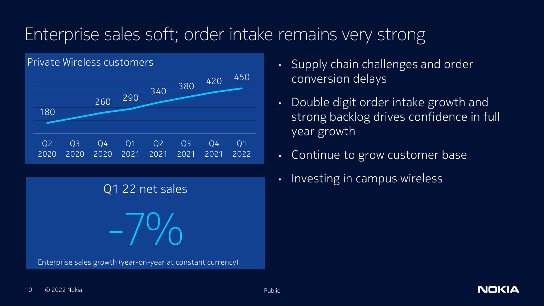## Enterprise sales soft; order intake remains very strong



Q1 22 net sales  $-7\%$ Enterprise sales growth (year-on-year at constant currency)

- Supply chain challenges and order conversion delays
- Double digit order intake growth and strong backlog drives confidence in full year growth
- Continue to grow customer base
- Investing in campus wireless

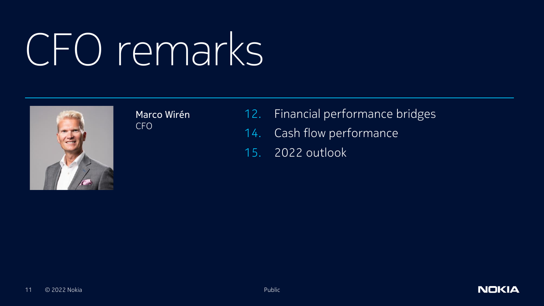## CFO remarks



Marco Wirén CFO

- 12. Financial performance bridges
- 14. Cash flow performance
- 15. 2022 outlook

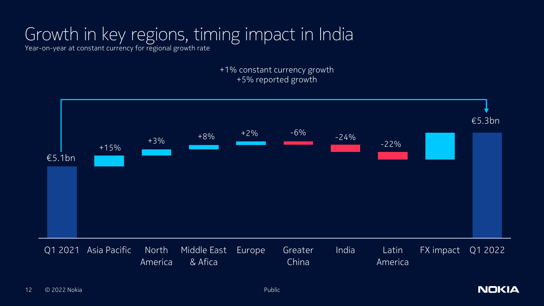## Growth in key regions, timing impact in India

Year-on-year at constant currency for regional growth rate

+1% constant currency growth +5% reported growth

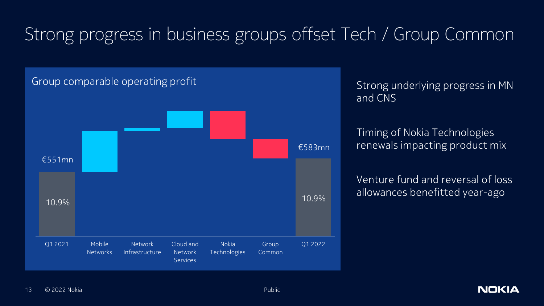## Strong progress in business groups offset Tech / Group Common



Strong underlying progress in MN and CNS

Timing of Nokia Technologies renewals impacting product mix

Venture fund and reversal of loss allowances benefitted year-ago

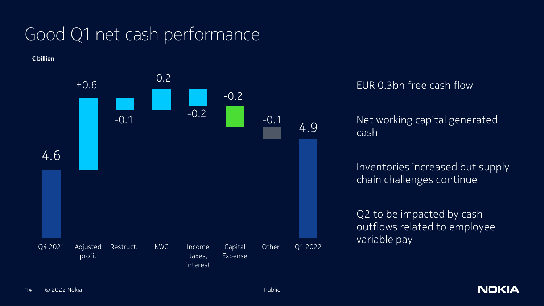## Good Q1 net cash performance

**€ billion**



#### EUR 0.3bn free cash flow

Net working capital generated cash

Inventories increased but supply chain challenges continue

Q2 to be impacted by cash outflows related to employee variable pay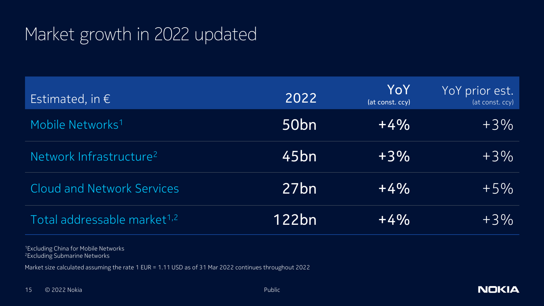## Market growth in 2022 updated

| Estimated, in $\epsilon$                | 2022             | YoY<br>(at const. ccy) | YoY prior est.<br>(at const. ccy) |
|-----------------------------------------|------------------|------------------------|-----------------------------------|
| Mobile Networks <sup>1</sup>            | 50 <sub>bn</sub> | $+4%$                  | $+3\%$                            |
| Network Infrastructure <sup>2</sup>     | 45bn             | $+3\%$                 | $+3\%$                            |
| <b>Cloud and Network Services</b>       | 27 <sub>bn</sub> | $+4\%$                 | $+5\%$                            |
| Total addressable market <sup>1,2</sup> | 122bn            | $+4\%$                 | $+3\%$                            |

<sup>1</sup>Excluding China for Mobile Networks <sup>2</sup>Excluding Submarine Networks

Market size calculated assuming the rate 1 EUR = 1.11 USD as of 31 Mar 2022 continues throughout 2022

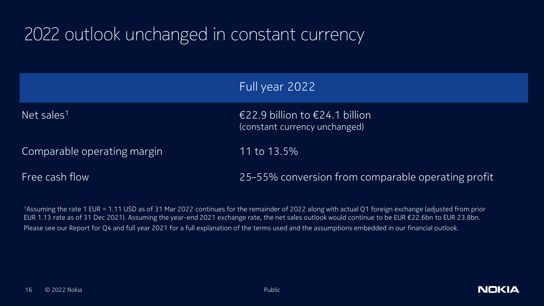## 2022 outlook unchanged in constant currency

|                             | Full year 2022                                                    |
|-----------------------------|-------------------------------------------------------------------|
| Net sales <sup>11</sup>     | €22.9 billion to $€24.1$ billion<br>(constant currency unchanged) |
| Comparable operating margin | 11 to 13.5%                                                       |
| Free cash flow              | 25-55% conversion from comparable operating profit                |

<sup>1</sup>Assuming the rate 1 EUR = 1.11 USD as of 31 Mar 2022 continues for the remainder of 2022 along with actual Q1 foreign exchange (adjusted from prior EUR 1.13 rate as of 31 Dec 2021). Assuming the year-end 2021 exchange rate, the net sales outlook would continue to be EUR €22.6bn to EUR 23.8bn. Please see our Report for Q4 and full year 2021 for a full explanation of the terms used and the assumptions embedded in our financial outlook.

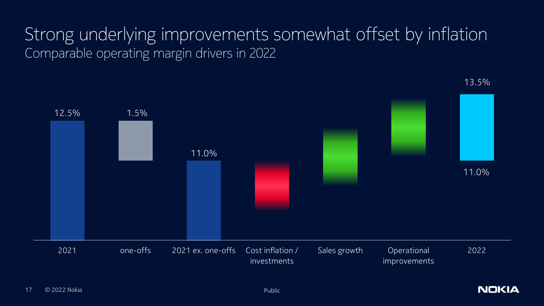## Strong underlying improvements somewhat offset by inflation Comparable operating margin drivers in 2022



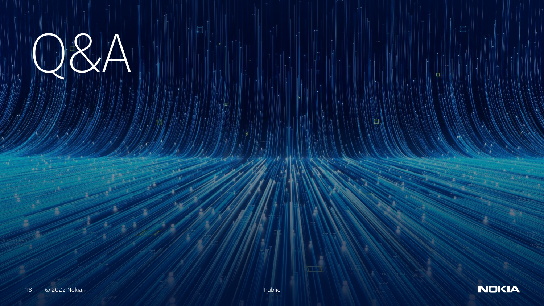# $R_{\rm A}$

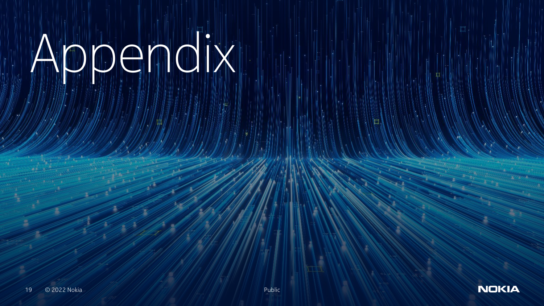# Appendix



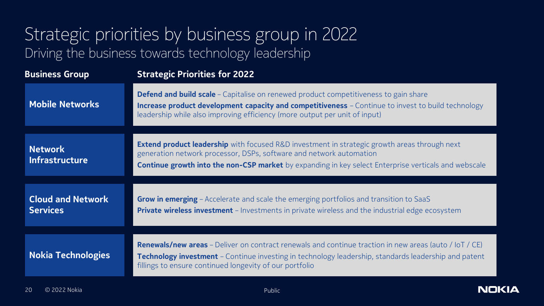## Strategic priorities by business group in 2022 Driving the business towards technology leadership

| <b>Business Group</b>                       | <b>Strategic Priorities for 2022</b>                                                                                                                                                                                                                                                      |  |
|---------------------------------------------|-------------------------------------------------------------------------------------------------------------------------------------------------------------------------------------------------------------------------------------------------------------------------------------------|--|
| <b>Mobile Networks</b>                      | <b>Defend and build scale</b> - Capitalise on renewed product competitiveness to gain share<br><b>Increase product development capacity and competitiveness</b> - Continue to invest to build technology<br>leadership while also improving efficiency (more output per unit of input)    |  |
| <b>Network</b><br><b>Infrastructure</b>     | <b>Extend product leadership</b> with focused R&D investment in strategic growth areas through next<br>generation network processor, DSPs, software and network automation<br><b>Continue growth into the non-CSP market</b> by expanding in key select Enterprise verticals and webscale |  |
| <b>Cloud and Network</b><br><b>Services</b> | <b>Grow in emerging</b> – Accelerate and scale the emerging portfolios and transition to SaaS<br><b>Private wireless investment</b> - Investments in private wireless and the industrial edge ecosystem                                                                                   |  |
| <b>Nokia Technologies</b>                   | <b>Renewals/new areas</b> - Deliver on contract renewals and continue traction in new areas (auto / IoT / CE)<br>Technology investment - Continue investing in technology leadership, standards leadership and patent<br>fillings to ensure continued longevity of our portfolio          |  |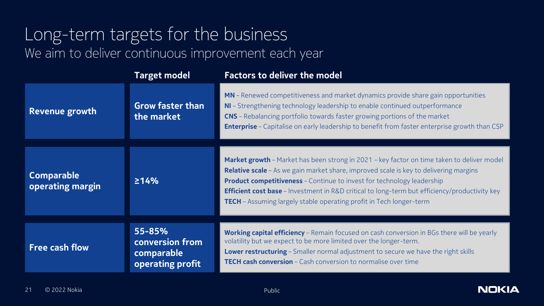### Long-term targets for the business We aim to deliver continuous improvement each year

|                                       | <b>Target model</b>                                         | <b>Factors to deliver the model</b>                                                                                                                                                                                                                                                                                                                                                                                                                 |
|---------------------------------------|-------------------------------------------------------------|-----------------------------------------------------------------------------------------------------------------------------------------------------------------------------------------------------------------------------------------------------------------------------------------------------------------------------------------------------------------------------------------------------------------------------------------------------|
| <b>Revenue growth</b>                 | <b>Grow faster than</b><br>the market                       | MN – Renewed competitiveness and market dynamics provide share gain opportunities<br>NI - Strengthening technology leadership to enable continued outperformance<br>CNS - Rebalancing portfolio towards faster growing portions of the market<br><b>Enterprise</b> - Capitalise on early leadership to benefit from faster enterprise growth than CSP                                                                                               |
| <b>Comparable</b><br>operating margin | 214%                                                        | Market growth - Market has been strong in 2021 - key factor on time taken to deliver model<br>Relative scale - As we gain market share, improved scale is key to delivering margins<br><b>Product competitiveness</b> - Continue to invest for technology leadership<br><b>Efficient cost base</b> - Investment in R&D critical to long-term but efficiency/productivity key<br>TECH - Assuming largely stable operating profit in Tech longer-term |
| <b>Free cash flow</b>                 | 55-85%<br>conversion from<br>comparable<br>operating profit | <b>Working capital efficiency</b> - Remain focused on cash conversion in BGs there will be yearly<br>volatility but we expect to be more limited over the longer-term.<br>Lower restructuring - Smaller normal adjustment to secure we have the right skills<br><b>TECH cash conversion</b> – Cash conversion to normalise over time                                                                                                                |

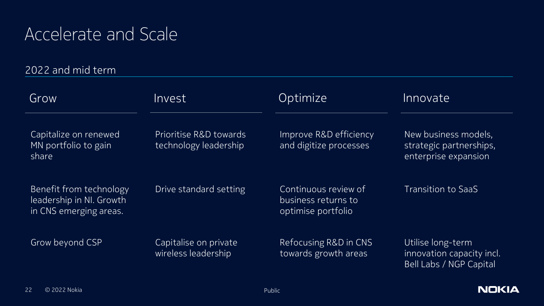## Accelerate and Scale

2022 and mid term

| Grow                                                                          | Invest                                          | Optimize                                                          | Innovate                                                                  |
|-------------------------------------------------------------------------------|-------------------------------------------------|-------------------------------------------------------------------|---------------------------------------------------------------------------|
| Capitalize on renewed<br>MN portfolio to gain<br>share                        | Prioritise R&D towards<br>technology leadership | Improve R&D efficiency<br>and digitize processes                  | New business models,<br>strategic partnerships,<br>enterprise expansion   |
| Benefit from technology<br>leadership in NI. Growth<br>in CNS emerging areas. | Drive standard setting                          | Continuous review of<br>business returns to<br>optimise portfolio | <b>Transition to SaaS</b>                                                 |
| Grow beyond CSP                                                               | Capitalise on private<br>wireless leadership    | Refocusing R&D in CNS<br>towards growth areas                     | Utilise long-term<br>innovation capacity incl.<br>Bell Labs / NGP Capital |